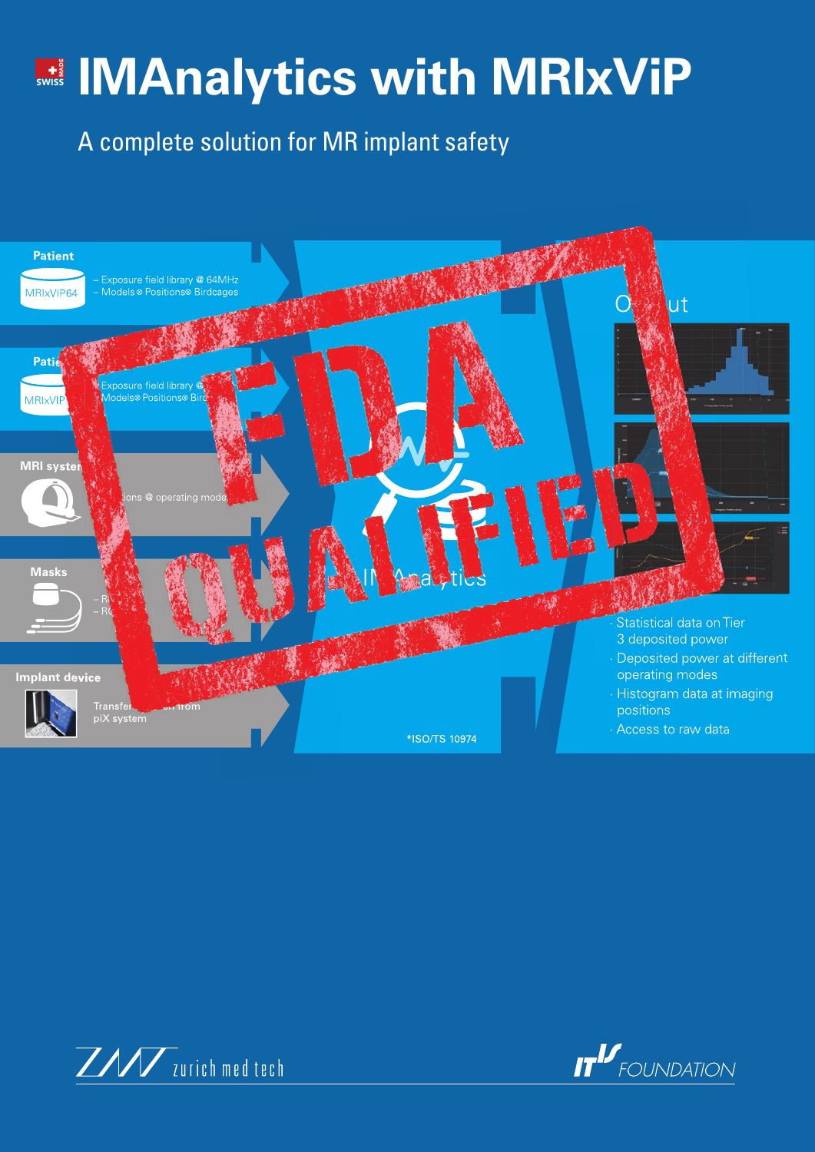## **With MRIxViP** Wiss With MRIXVIP

A complete solution for MR implant safety